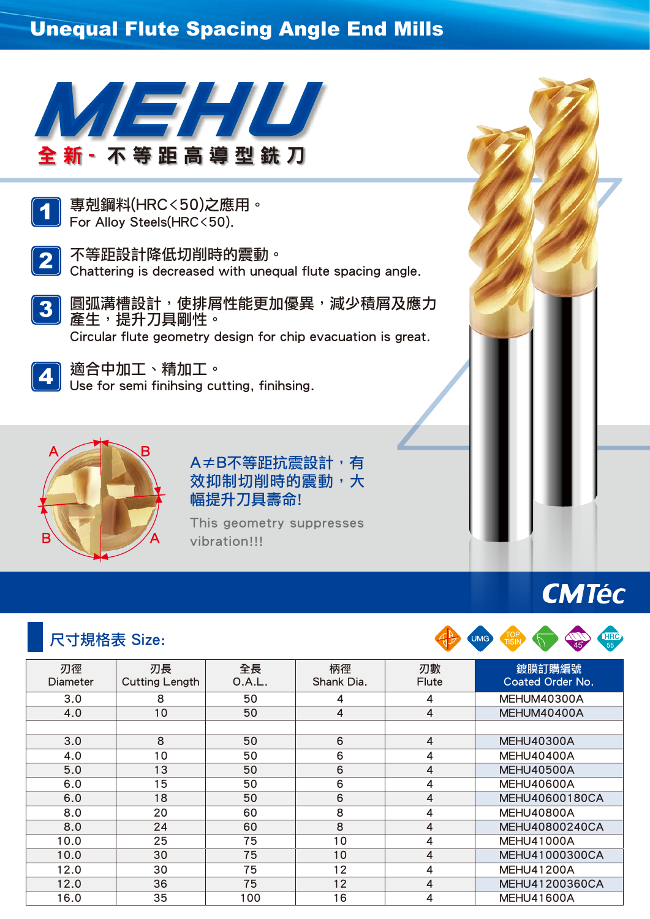# Unequal Flute Spacing Angle End Mills





專剋鋼料(HRC<50)之應用。 For Alloy Steels(HRC<50).



不等距設計降低切削時的震動。 Chattering is decreased with unequal flute spacing angle.

圓弧溝槽設計,使排屑性能更加優異,減少積屑及應力 產生,提升刀具剛性。 Circular flute geometry design for chip evacuation is great. 3



適合中加工、精加工。 Use for semi finihsing cutting, finihsing.



A≠B不等距抗震設計,有 效抑制切削時的震動,大 幅提升刀具壽命!

This geometry suppresses vibration!!!

# **CMTéc**

## 尺寸規格表 Size:



| 刃徑<br><b>Diameter</b> | 刃長<br><b>Cutting Length</b> | 全長<br>O.A.L. | 柄徑<br>Shank Dia. | 刃數<br>Flute | 鍍膜訂購編號<br>Coated Order No. |
|-----------------------|-----------------------------|--------------|------------------|-------------|----------------------------|
| 3.0                   | 8                           | 50           | 4                | 4           | MEHUM40300A                |
| 4.0                   | 10                          | 50           | 4                | 4           | MEHUM40400A                |
|                       |                             |              |                  |             |                            |
| 3.0                   | 8                           | 50           | 6                | 4           | <b>MEHU40300A</b>          |
| 4.0                   | 10                          | 50           | 6                | 4           | <b>MEHU40400A</b>          |
| 5.0                   | 13                          | 50           | 6                | 4           | <b>MEHU40500A</b>          |
| 6.0                   | 15                          | 50           | 6                | 4           | <b>MEHU40600A</b>          |
| 6.0                   | 18                          | 50           | 6                | 4           | <b>MEHU40600180CA</b>      |
| 8.0                   | 20                          | 60           | 8                | 4           | <b>MEHU40800A</b>          |
| 8.0                   | 24                          | 60           | 8                | 4           | <b>MEHU40800240CA</b>      |
| 10.0                  | 25                          | 75           | 10               | 4           | <b>MEHU41000A</b>          |
| 10.0                  | 30                          | 75           | 10               | 4           | <b>MEHU41000300CA</b>      |
| 12.0                  | 30                          | 75           | 12               | 4           | <b>MEHU41200A</b>          |
| 12.0                  | 36                          | 75           | 12               | 4           | <b>MEHU41200360CA</b>      |
| 16.0                  | 35                          | 100          | 16               | 4           | <b>MEHU41600A</b>          |